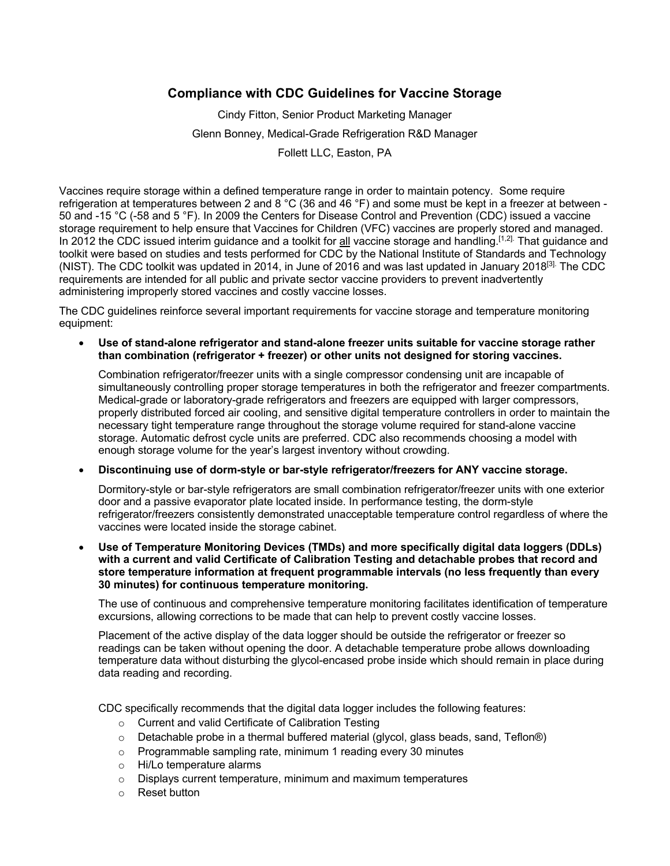## **Compliance with CDC Guidelines for Vaccine Storage**

Cindy Fitton, Senior Product Marketing Manager Glenn Bonney, Medical-Grade Refrigeration R&D Manager Follett LLC, Easton, PA

Vaccines require storage within a defined temperature range in order to maintain potency. Some require refrigeration at temperatures between 2 and 8 °C (36 and 46 °F) and some must be kept in a freezer at between - 50 and -15 °C (-58 and 5 °F). In 2009 the Centers for Disease Control and Prevention (CDC) issued a vaccine storage requirement to help ensure that Vaccines for Children (VFC) vaccines are properly stored and managed. In 2012 the CDC issued interim guidance and a toolkit for **all** vaccine storage and handling.<sup>[1,2]</sup> That guidance and toolkit were based on studies and tests performed for CDC by the National Institute of Standards and Technology (NIST). The CDC toolkit was updated in 2014, in June of 2016 and was last updated in January 2018[3]. The CDC requirements are intended for all public and private sector vaccine providers to prevent inadvertently administering improperly stored vaccines and costly vaccine losses.

The CDC guidelines reinforce several important requirements for vaccine storage and temperature monitoring equipment:

• **Use of stand-alone refrigerator and stand-alone freezer units suitable for vaccine storage rather than combination (refrigerator + freezer) or other units not designed for storing vaccines.** 

Combination refrigerator/freezer units with a single compressor condensing unit are incapable of simultaneously controlling proper storage temperatures in both the refrigerator and freezer compartments. Medical-grade or laboratory-grade refrigerators and freezers are equipped with larger compressors, properly distributed forced air cooling, and sensitive digital temperature controllers in order to maintain the necessary tight temperature range throughout the storage volume required for stand-alone vaccine storage. Automatic defrost cycle units are preferred. CDC also recommends choosing a model with enough storage volume for the year's largest inventory without crowding.

• **Discontinuing use of dorm-style or bar-style refrigerator/freezers for ANY vaccine storage.** 

Dormitory-style or bar-style refrigerators are small combination refrigerator/freezer units with one exterior door and a passive evaporator plate located inside. In performance testing, the dorm-style refrigerator/freezers consistently demonstrated unacceptable temperature control regardless of where the vaccines were located inside the storage cabinet.

• **Use of Temperature Monitoring Devices (TMDs) and more specifically digital data loggers (DDLs) with a current and valid Certificate of Calibration Testing and detachable probes that record and store temperature information at frequent programmable intervals (no less frequently than every 30 minutes) for continuous temperature monitoring.**

The use of continuous and comprehensive temperature monitoring facilitates identification of temperature excursions, allowing corrections to be made that can help to prevent costly vaccine losses.

Placement of the active display of the data logger should be outside the refrigerator or freezer so readings can be taken without opening the door. A detachable temperature probe allows downloading temperature data without disturbing the glycol-encased probe inside which should remain in place during data reading and recording.

CDC specifically recommends that the digital data logger includes the following features:

- o Current and valid Certificate of Calibration Testing
- $\circ$  Detachable probe in a thermal buffered material (glycol, glass beads, sand, Teflon®)
- o Programmable sampling rate, minimum 1 reading every 30 minutes
- o Hi/Lo temperature alarms
- o Displays current temperature, minimum and maximum temperatures
- o Reset button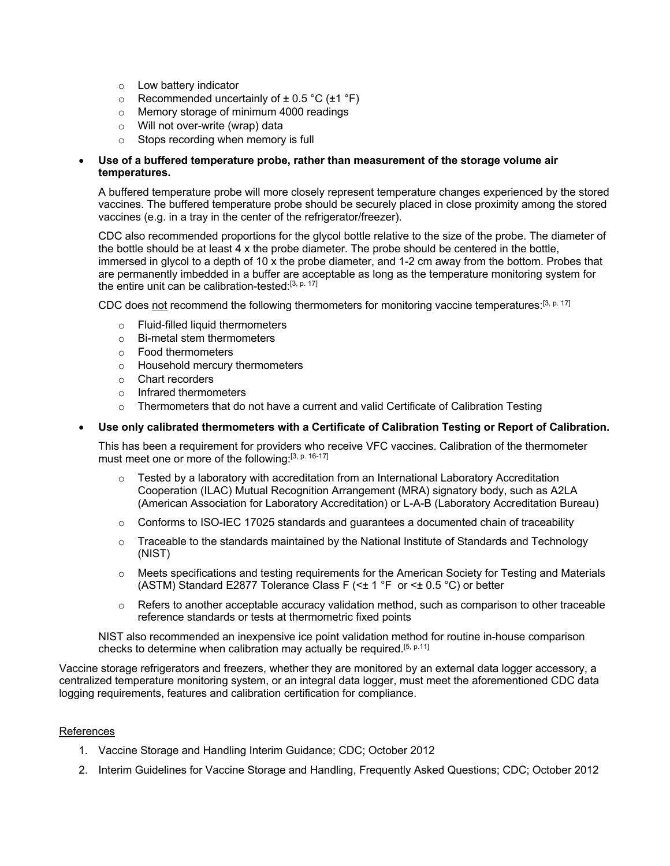- o Low battery indicator
- $\circ$  Recommended uncertainly of  $\pm$  0.5 °C ( $\pm$ 1 °F)
- o Memory storage of minimum 4000 readings
- o Will not over-write (wrap) data
- o Stops recording when memory is full

## • **Use of a buffered temperature probe, rather than measurement of the storage volume air temperatures.**

A buffered temperature probe will more closely represent temperature changes experienced by the stored vaccines. The buffered temperature probe should be securely placed in close proximity among the stored vaccines (e.g. in a tray in the center of the refrigerator/freezer).

CDC also recommended proportions for the glycol bottle relative to the size of the probe. The diameter of the bottle should be at least 4 x the probe diameter. The probe should be centered in the bottle, immersed in glycol to a depth of 10 x the probe diameter, and 1-2 cm away from the bottom. Probes that are permanently imbedded in a buffer are acceptable as long as the temperature monitoring system for the entire unit can be calibration-tested:<sup>[3, p. 17]</sup>

CDC does not recommend the following thermometers for monitoring vaccine temperatures:<sup>[3, p. 17]</sup>

- o Fluid-filled liquid thermometers
- o Bi-metal stem thermometers
- o Food thermometers
- o Household mercury thermometers
- o Chart recorders
- o Infrared thermometers
- o Thermometers that do not have a current and valid Certificate of Calibration Testing

## • **Use only calibrated thermometers with a Certificate of Calibration Testing or Report of Calibration.**

This has been a requirement for providers who receive VFC vaccines. Calibration of the thermometer must meet one or more of the following:<sup>[3, p. 16-17]</sup>

- $\circ$  Tested by a laboratory with accreditation from an International Laboratory Accreditation Cooperation (ILAC) Mutual Recognition Arrangement (MRA) signatory body, such as A2LA (American Association for Laboratory Accreditation) or L-A-B (Laboratory Accreditation Bureau)
- $\circ$  Conforms to ISO-IEC 17025 standards and guarantees a documented chain of traceability
- $\circ$  Traceable to the standards maintained by the National Institute of Standards and Technology (NIST)
- $\circ$  Meets specifications and testing requirements for the American Society for Testing and Materials (ASTM) Standard E2877 Tolerance Class F (<± 1 °F or <± 0.5 °C) or better
- $\circ$  Refers to another acceptable accuracy validation method, such as comparison to other traceable reference standards or tests at thermometric fixed points

NIST also recommended an inexpensive ice point validation method for routine in-house comparison checks to determine when calibration may actually be required.<sup>[5, p.11]</sup>

Vaccine storage refrigerators and freezers, whether they are monitored by an external data logger accessory, a centralized temperature monitoring system, or an integral data logger, must meet the aforementioned CDC data logging requirements, features and calibration certification for compliance.

## References

- 1. Vaccine Storage and Handling Interim Guidance; CDC; October 2012
- 2. Interim Guidelines for Vaccine Storage and Handling, Frequently Asked Questions; CDC; October 2012